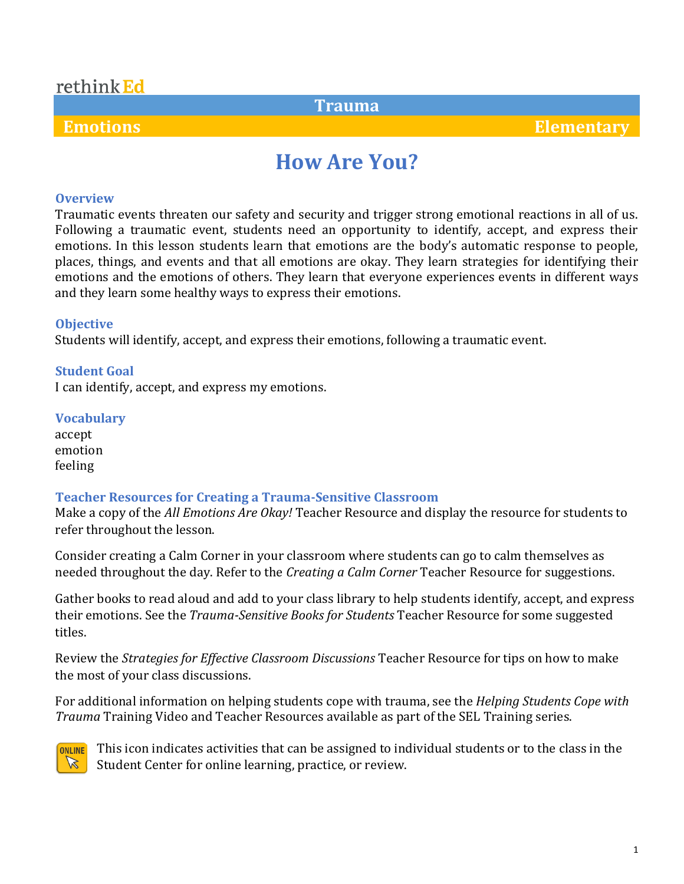### rethink Ed

### **Trauma**

 **Emotions Elementary**

# **How Are You?**

#### **Overview**

Traumatic events threaten our safety and security and trigger strong emotional reactions in all of us. Following a traumatic event, students need an opportunity to identify, accept, and express their emotions. In this lesson students learn that emotions are the body's automatic response to people, places, things, and events and that all emotions are okay. They learn strategies for identifying their emotions and the emotions of others. They learn that everyone experiences events in different ways and they learn some healthy ways to express their emotions.

#### **Objective**

Students will identify, accept, and express their emotions, following a traumatic event.

**Student Goal** I can identify, accept, and express my emotions.

#### **Vocabulary**

accept emotion feeling

#### **Teacher Resources for Creating a Trauma-Sensitive Classroom**

Make a copy of the *All Emotions Are Okay!* Teacher Resource and display the resource for students to refer throughout the lesson.

Consider creating a Calm Corner in your classroom where students can go to calm themselves as needed throughout the day. Refer to the *Creating a Calm Corner* Teacher Resource for suggestions.

Gather books to read aloud and add to your class library to help students identify, accept, and express their emotions. See the *Trauma-Sensitive Books for Students* Teacher Resource for some suggested titles.

Review the *Strategies for Effective Classroom Discussions* Teacher Resource for tips on how to make the most of your class discussions.

For additional information on helping students cope with trauma, see the *Helping Students Cope with Trauma* Training Video and Teacher Resources available as part of the SEL Training series.



This icon indicates activities that can be assigned to individual students or to the class in the Student Center for online learning, practice, or review.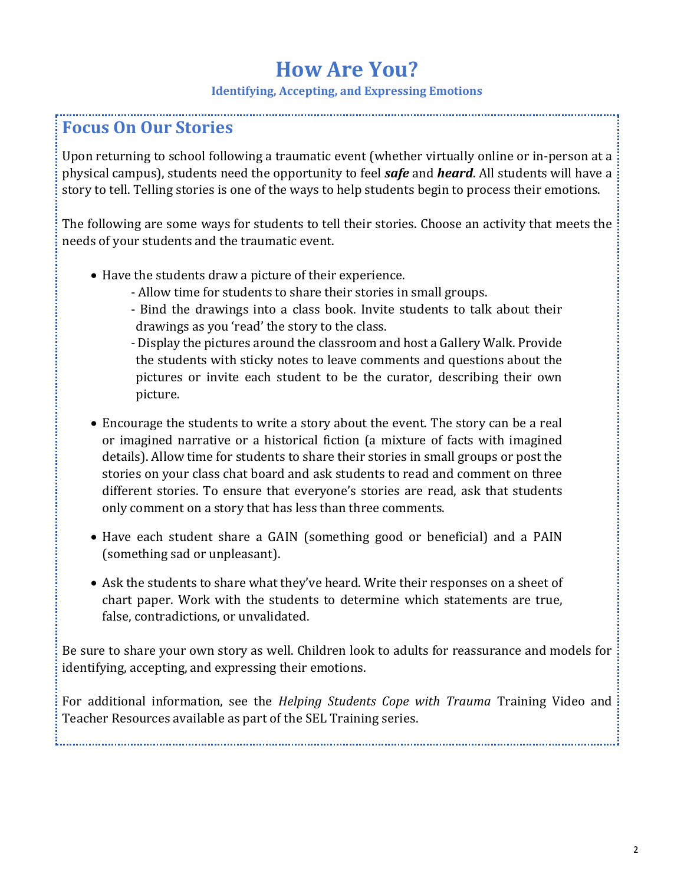#### **Identifying, Accepting, and Expressing Emotions**

### **Focus On Our Stories**

Upon returning to school following a traumatic event (whether virtually online or in-person at a physical campus), students need the opportunity to feel *safe* and *heard*. All students will have a story to tell. Telling stories is one of the ways to help students begin to process their emotions.

The following are some ways for students to tell their stories. Choose an activity that meets the needs of your students and the traumatic event.

- Have the students draw a picture of their experience.
	- Allow time for students to share their stories in small groups.
	- Bind the drawings into a class book. Invite students to talk about their drawings as you 'read' the story to the class.
	- Display the pictures around the classroom and host a Gallery Walk. Provide the students with sticky notes to leave comments and questions about the pictures or invite each student to be the curator, describing their own picture.
- Encourage the students to write a story about the event. The story can be a real or imagined narrative or a historical fiction (a mixture of facts with imagined details). Allow time for students to share their stories in small groups or post the stories on your class chat board and ask students to read and comment on three different stories. To ensure that everyone's stories are read, ask that students only comment on a story that has less than three comments.
- Have each student share a GAIN (something good or beneficial) and a PAIN (something sad or unpleasant).
- Ask the students to share what they've heard. Write their responses on a sheet of chart paper. Work with the students to determine which statements are true, false, contradictions, or unvalidated.

Be sure to share your own story as well. Children look to adults for reassurance and models for identifying, accepting, and expressing their emotions.

For additional information, see the *Helping Students Cope with Trauma* Training Video and Teacher Resources available as part of the SEL Training series.

2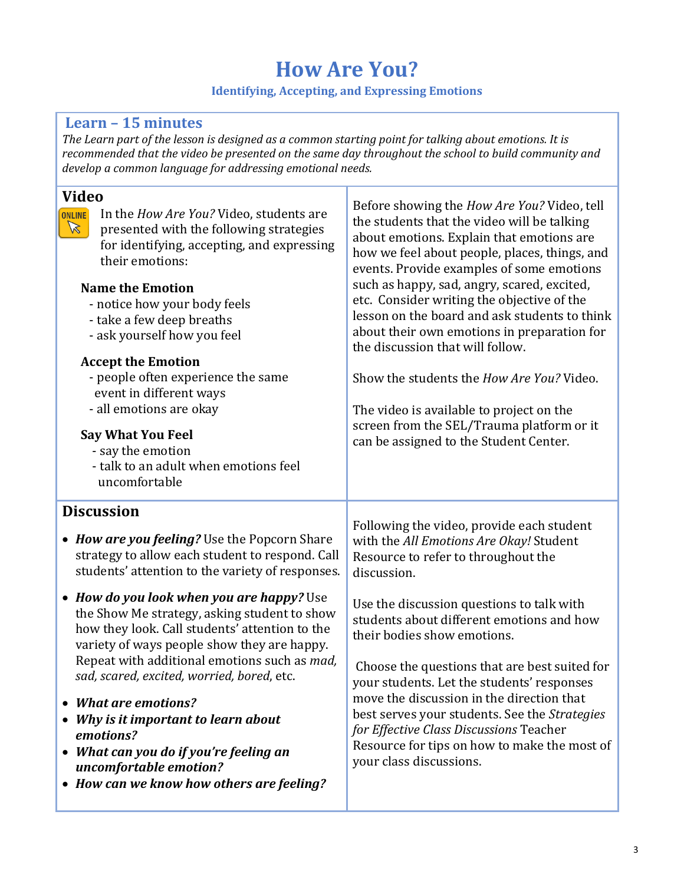#### **Identifying, Accepting, and Expressing Emotions**

### **Learn – 15 minutes**

*The Learn part of the lesson is designed as a common starting point for talking about emotions. It is recommended that the video be presented on the same day throughout the school to build community and develop a common language for addressing emotional needs.*

| <b>Video</b><br>ONLINE<br>In the How Are You? Video, students are<br>$\mathbb{Z}$<br>presented with the following strategies<br>for identifying, accepting, and expressing<br>their emotions:<br><b>Name the Emotion</b><br>- notice how your body feels<br>- take a few deep breaths<br>- ask yourself how you feel<br><b>Accept the Emotion</b><br>- people often experience the same<br>event in different ways<br>- all emotions are okay<br><b>Say What You Feel</b><br>- say the emotion<br>- talk to an adult when emotions feel<br>uncomfortable | Before showing the <i>How Are You?</i> Video, tell<br>the students that the video will be talking<br>about emotions. Explain that emotions are<br>how we feel about people, places, things, and<br>events. Provide examples of some emotions<br>such as happy, sad, angry, scared, excited,<br>etc. Consider writing the objective of the<br>lesson on the board and ask students to think<br>about their own emotions in preparation for<br>the discussion that will follow.<br>Show the students the How Are You? Video.<br>The video is available to project on the<br>screen from the SEL/Trauma platform or it<br>can be assigned to the Student Center. |
|----------------------------------------------------------------------------------------------------------------------------------------------------------------------------------------------------------------------------------------------------------------------------------------------------------------------------------------------------------------------------------------------------------------------------------------------------------------------------------------------------------------------------------------------------------|---------------------------------------------------------------------------------------------------------------------------------------------------------------------------------------------------------------------------------------------------------------------------------------------------------------------------------------------------------------------------------------------------------------------------------------------------------------------------------------------------------------------------------------------------------------------------------------------------------------------------------------------------------------|
| <b>Discussion</b><br>• How are you feeling? Use the Popcorn Share<br>strategy to allow each student to respond. Call<br>students' attention to the variety of responses.                                                                                                                                                                                                                                                                                                                                                                                 | Following the video, provide each student<br>with the All Emotions Are Okay! Student<br>Resource to refer to throughout the<br>discussion.                                                                                                                                                                                                                                                                                                                                                                                                                                                                                                                    |
| • How do you look when you are happy? Use<br>the Show Me strategy, asking student to show<br>how they look. Call students' attention to the<br>variety of ways people show they are happy.<br>Repeat with additional emotions such as mad,<br>sad, scared, excited, worried, bored, etc.<br>• What are emotions?<br>Why is it important to learn about<br>emotions?<br>What can you do if you're feeling an<br>$\bullet$<br>uncomfortable emotion?<br>• How can we know how others are feeling?                                                          | Use the discussion questions to talk with<br>students about different emotions and how<br>their bodies show emotions.<br>Choose the questions that are best suited for<br>vour students. Let the students' responses<br>move the discussion in the direction that<br>best serves your students. See the Strategies<br>for Effective Class Discussions Teacher<br>Resource for tips on how to make the most of<br>your class discussions.                                                                                                                                                                                                                      |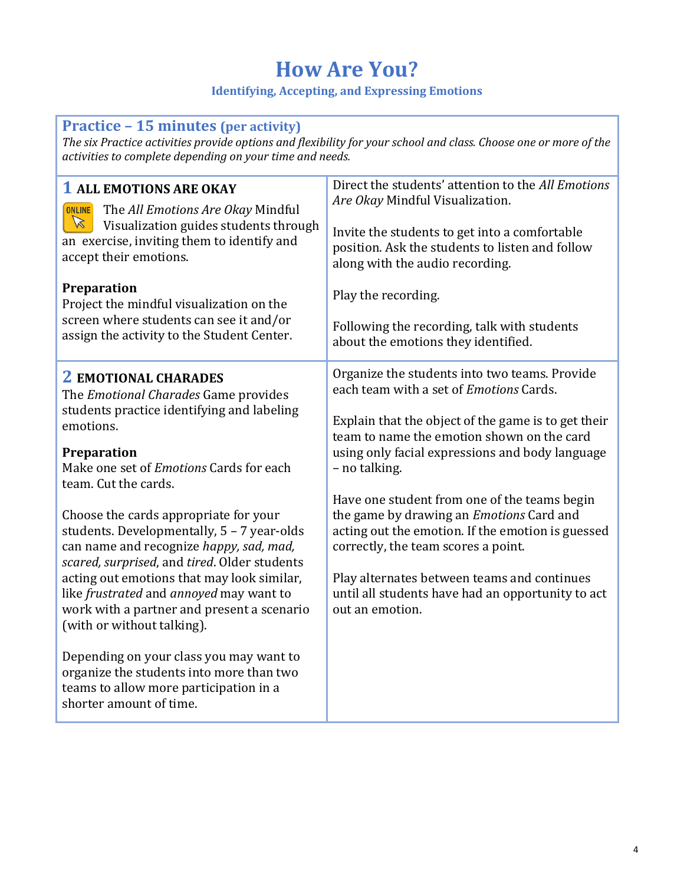#### **Identifying, Accepting, and Expressing Emotions**

### **Practice – 15 minutes (per activity)**

*The six Practice activities provide options and flexibility for your school and class. Choose one or more of the activities to complete depending on your time and needs.*

| <b>1 ALL EMOTIONS ARE OKAY</b><br>The All Emotions Are Okay Mindful<br><b>ONLINE</b><br>$\mathbb{Z}$<br>Visualization guides students through<br>an exercise, inviting them to identify and<br>accept their emotions.<br>Preparation<br>Project the mindful visualization on the<br>screen where students can see it and/or<br>assign the activity to the Student Center.                                                                                                                                                     | Direct the students' attention to the All Emotions<br>Are Okay Mindful Visualization.<br>Invite the students to get into a comfortable<br>position. Ask the students to listen and follow<br>along with the audio recording.<br>Play the recording.<br>Following the recording, talk with students<br>about the emotions they identified. |
|-------------------------------------------------------------------------------------------------------------------------------------------------------------------------------------------------------------------------------------------------------------------------------------------------------------------------------------------------------------------------------------------------------------------------------------------------------------------------------------------------------------------------------|-------------------------------------------------------------------------------------------------------------------------------------------------------------------------------------------------------------------------------------------------------------------------------------------------------------------------------------------|
| <b>2 EMOTIONAL CHARADES</b><br>The <i>Emotional Charades</i> Game provides<br>students practice identifying and labeling<br>emotions.<br>Preparation<br>Make one set of <i>Emotions</i> Cards for each<br>team. Cut the cards.                                                                                                                                                                                                                                                                                                | Organize the students into two teams. Provide<br>each team with a set of <i>Emotions</i> Cards.<br>Explain that the object of the game is to get their<br>team to name the emotion shown on the card<br>using only facial expressions and body language<br>- no talking.                                                                  |
| Choose the cards appropriate for your<br>students. Developmentally, 5 - 7 year-olds<br>can name and recognize happy, sad, mad,<br>scared, surprised, and tired. Older students<br>acting out emotions that may look similar,<br>like <i>frustrated</i> and <i>annoyed</i> may want to<br>work with a partner and present a scenario<br>(with or without talking).<br>Depending on your class you may want to<br>organize the students into more than two<br>teams to allow more participation in a<br>shorter amount of time. | Have one student from one of the teams begin<br>the game by drawing an <i>Emotions</i> Card and<br>acting out the emotion. If the emotion is guessed<br>correctly, the team scores a point.<br>Play alternates between teams and continues<br>until all students have had an opportunity to act<br>out an emotion.                        |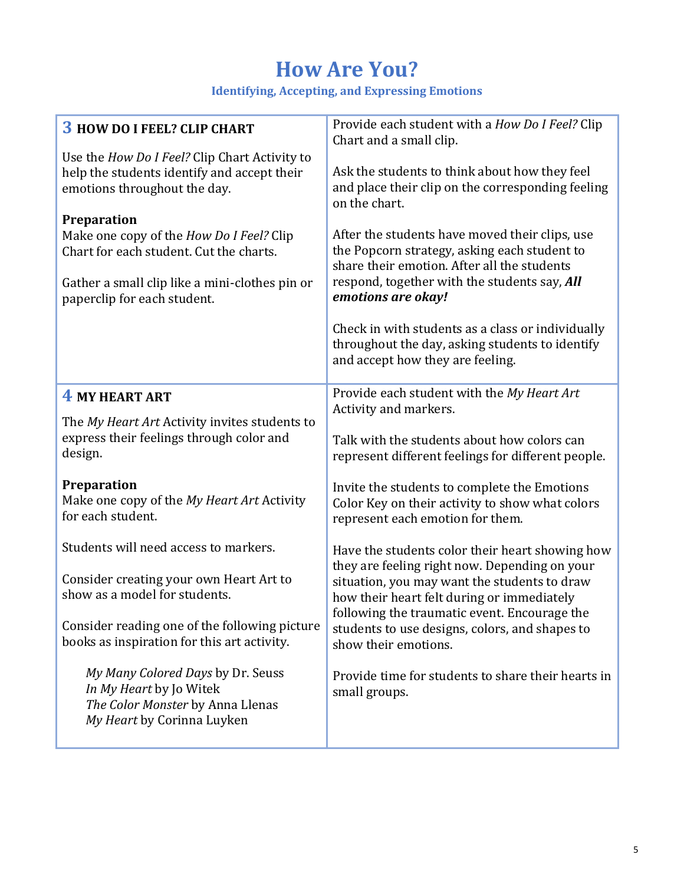**Identifying, Accepting, and Expressing Emotions**

| <b>3 HOW DO I FEEL? CLIP CHART</b>                                                                                                                                                         | Provide each student with a <i>How Do I Feel?</i> Clip<br>Chart and a small clip.                                                                                                                                   |
|--------------------------------------------------------------------------------------------------------------------------------------------------------------------------------------------|---------------------------------------------------------------------------------------------------------------------------------------------------------------------------------------------------------------------|
| Use the How Do I Feel? Clip Chart Activity to<br>help the students identify and accept their<br>emotions throughout the day.                                                               | Ask the students to think about how they feel<br>and place their clip on the corresponding feeling<br>on the chart.                                                                                                 |
| <b>Preparation</b><br>Make one copy of the How Do I Feel? Clip<br>Chart for each student. Cut the charts.<br>Gather a small clip like a mini-clothes pin or<br>paperclip for each student. | After the students have moved their clips, use<br>the Popcorn strategy, asking each student to<br>share their emotion. After all the students<br>respond, together with the students say, All<br>emotions are okay! |
|                                                                                                                                                                                            | Check in with students as a class or individually<br>throughout the day, asking students to identify<br>and accept how they are feeling.                                                                            |
| 4 MY HEART ART                                                                                                                                                                             | Provide each student with the My Heart Art<br>Activity and markers.                                                                                                                                                 |
| The My Heart Art Activity invites students to<br>express their feelings through color and<br>design.                                                                                       | Talk with the students about how colors can<br>represent different feelings for different people.                                                                                                                   |
| <b>Preparation</b><br>Make one copy of the My Heart Art Activity<br>for each student.                                                                                                      | Invite the students to complete the Emotions<br>Color Key on their activity to show what colors<br>represent each emotion for them.                                                                                 |
| Students will need access to markers.                                                                                                                                                      | Have the students color their heart showing how                                                                                                                                                                     |
| Consider creating your own Heart Art to<br>show as a model for students.                                                                                                                   | they are feeling right now. Depending on your<br>situation, you may want the students to draw<br>how their heart felt during or immediately                                                                         |
| Consider reading one of the following picture<br>books as inspiration for this art activity.                                                                                               | following the traumatic event. Encourage the<br>students to use designs, colors, and shapes to<br>show their emotions.                                                                                              |
| My Many Colored Days by Dr. Seuss<br>In My Heart by Jo Witek<br>The Color Monster by Anna Llenas<br>My Heart by Corinna Luyken                                                             | Provide time for students to share their hearts in<br>small groups.                                                                                                                                                 |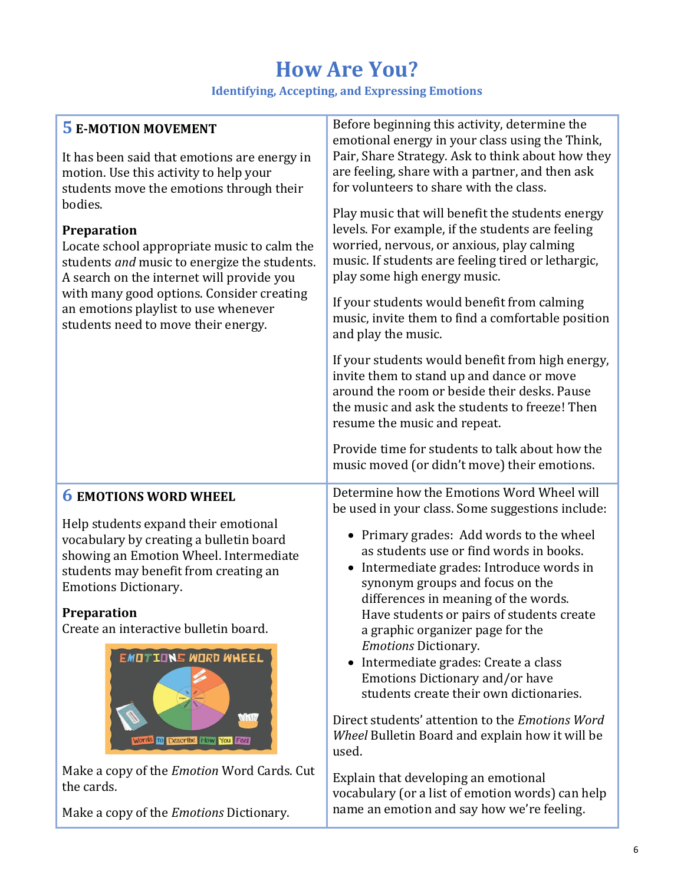**Identifying, Accepting, and Expressing Emotions**

| <b>5 E-MOTION MOVEMENT</b><br>It has been said that emotions are energy in<br>motion. Use this activity to help your<br>students move the emotions through their<br>bodies.<br><b>Preparation</b><br>Locate school appropriate music to calm the<br>students and music to energize the students.<br>A search on the internet will provide you<br>with many good options. Consider creating<br>an emotions playlist to use whenever<br>students need to move their energy. | Before beginning this activity, determine the<br>emotional energy in your class using the Think,<br>Pair, Share Strategy. Ask to think about how they<br>are feeling, share with a partner, and then ask<br>for volunteers to share with the class.<br>Play music that will benefit the students energy<br>levels. For example, if the students are feeling<br>worried, nervous, or anxious, play calming<br>music. If students are feeling tired or lethargic,<br>play some high energy music.<br>If your students would benefit from calming<br>music, invite them to find a comfortable position<br>and play the music.<br>If your students would benefit from high energy,<br>invite them to stand up and dance or move<br>around the room or beside their desks. Pause<br>the music and ask the students to freeze! Then<br>resume the music and repeat. |
|---------------------------------------------------------------------------------------------------------------------------------------------------------------------------------------------------------------------------------------------------------------------------------------------------------------------------------------------------------------------------------------------------------------------------------------------------------------------------|---------------------------------------------------------------------------------------------------------------------------------------------------------------------------------------------------------------------------------------------------------------------------------------------------------------------------------------------------------------------------------------------------------------------------------------------------------------------------------------------------------------------------------------------------------------------------------------------------------------------------------------------------------------------------------------------------------------------------------------------------------------------------------------------------------------------------------------------------------------|
|                                                                                                                                                                                                                                                                                                                                                                                                                                                                           | Provide time for students to talk about how the<br>music moved (or didn't move) their emotions.                                                                                                                                                                                                                                                                                                                                                                                                                                                                                                                                                                                                                                                                                                                                                               |
| <b>6 EMOTIONS WORD WHEEL</b><br>Help students expand their emotional<br>vocabulary by creating a bulletin board<br>showing an Emotion Wheel. Intermediate<br>students may benefit from creating an<br><b>Emotions Dictionary.</b><br><b>Preparation</b><br>Create an interactive bulletin board.<br><b>EMOTIONS WORD WHEEL</b><br>de a bri<br>Words to Describe How You Feel                                                                                              | Determine how the Emotions Word Wheel will<br>be used in your class. Some suggestions include:<br>Primary grades: Add words to the wheel<br>$\bullet$<br>as students use or find words in books.<br>Intermediate grades: Introduce words in<br>$\bullet$<br>synonym groups and focus on the<br>differences in meaning of the words.<br>Have students or pairs of students create<br>a graphic organizer page for the<br><b>Emotions Dictionary.</b><br>Intermediate grades: Create a class<br>Emotions Dictionary and/or have<br>students create their own dictionaries.<br>Direct students' attention to the Emotions Word<br>Wheel Bulletin Board and explain how it will be<br>used.                                                                                                                                                                       |
| Make a copy of the <i>Emotion</i> Word Cards. Cut<br>the cards.<br>Make a copy of the <i>Emotions</i> Dictionary.                                                                                                                                                                                                                                                                                                                                                         | Explain that developing an emotional<br>vocabulary (or a list of emotion words) can help<br>name an emotion and say how we're feeling.                                                                                                                                                                                                                                                                                                                                                                                                                                                                                                                                                                                                                                                                                                                        |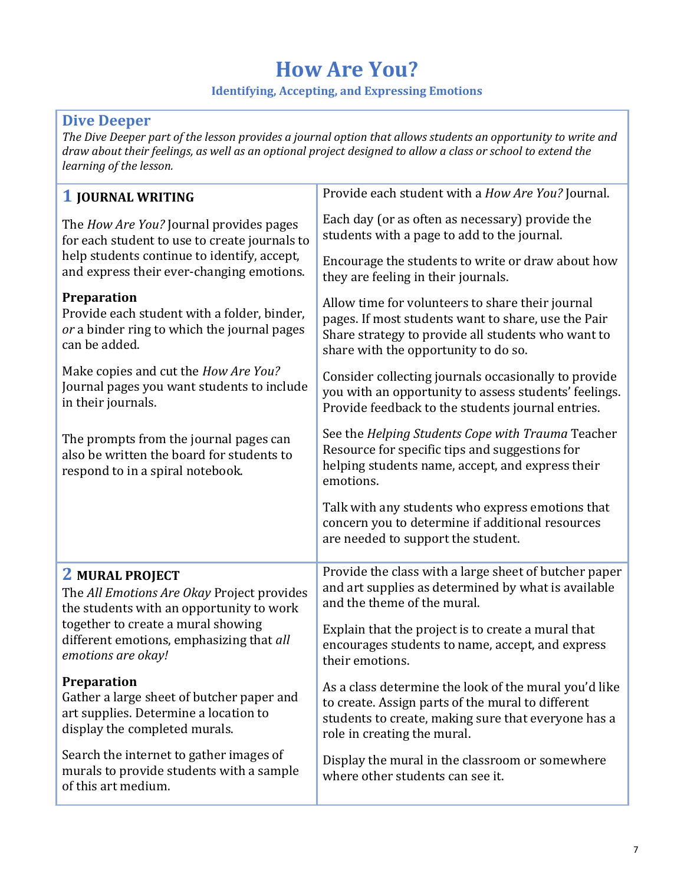#### **Identifying, Accepting, and Expressing Emotions**

### **Dive Deeper**

*The Dive Deeper part of the lesson provides a journal option that allows students an opportunity to write and draw about their feelings, as well as an optional project designed to allow a class or school to extend the learning of the lesson.*

| <b>1 JOURNAL WRITING</b>                                                                                                                                                             | Provide each student with a How Are You? Journal.                                                                                                                                                     |
|--------------------------------------------------------------------------------------------------------------------------------------------------------------------------------------|-------------------------------------------------------------------------------------------------------------------------------------------------------------------------------------------------------|
| The How Are You? Journal provides pages<br>for each student to use to create journals to<br>help students continue to identify, accept,<br>and express their ever-changing emotions. | Each day (or as often as necessary) provide the<br>students with a page to add to the journal.                                                                                                        |
|                                                                                                                                                                                      | Encourage the students to write or draw about how<br>they are feeling in their journals.                                                                                                              |
| Preparation<br>Provide each student with a folder, binder,<br>or a binder ring to which the journal pages<br>can be added.                                                           | Allow time for volunteers to share their journal<br>pages. If most students want to share, use the Pair<br>Share strategy to provide all students who want to<br>share with the opportunity to do so. |
| Make copies and cut the <i>How Are You?</i><br>Journal pages you want students to include<br>in their journals.                                                                      | Consider collecting journals occasionally to provide<br>you with an opportunity to assess students' feelings.<br>Provide feedback to the students journal entries.                                    |
| The prompts from the journal pages can<br>also be written the board for students to<br>respond to in a spiral notebook.                                                              | See the Helping Students Cope with Trauma Teacher<br>Resource for specific tips and suggestions for<br>helping students name, accept, and express their<br>emotions.                                  |
|                                                                                                                                                                                      |                                                                                                                                                                                                       |
|                                                                                                                                                                                      | Talk with any students who express emotions that<br>concern you to determine if additional resources<br>are needed to support the student.                                                            |
| <b>2 MURAL PROJECT</b><br>The All Emotions Are Okay Project provides<br>the students with an opportunity to work                                                                     | Provide the class with a large sheet of butcher paper<br>and art supplies as determined by what is available<br>and the theme of the mural.                                                           |
| together to create a mural showing<br>different emotions, emphasizing that all<br>emotions are okay!                                                                                 | Explain that the project is to create a mural that<br>encourages students to name, accept, and express<br>their emotions.                                                                             |
| <b>Preparation</b><br>Gather a large sheet of butcher paper and<br>art supplies. Determine a location to<br>display the completed murals.                                            | As a class determine the look of the mural you'd like<br>to create. Assign parts of the mural to different<br>students to create, making sure that everyone has a<br>role in creating the mural.      |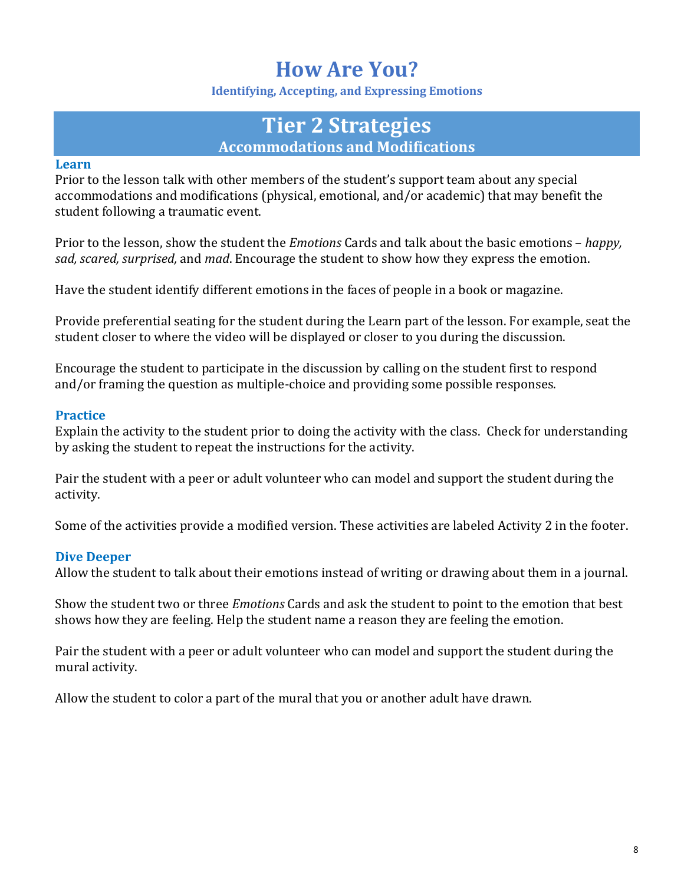**Identifying, Accepting, and Expressing Emotions**

### **Tier 2 Strategies Accommodations and Modifications**

#### **Learn**

Prior to the lesson talk with other members of the student's support team about any special accommodations and modifications (physical, emotional, and/or academic) that may benefit the student following a traumatic event.

Prior to the lesson, show the student the *Emotions* Cards and talk about the basic emotions – *happy, sad, scared, surprised,* and *mad*. Encourage the student to show how they express the emotion.

Have the student identify different emotions in the faces of people in a book or magazine.

Provide preferential seating for the student during the Learn part of the lesson. For example, seat the student closer to where the video will be displayed or closer to you during the discussion.

Encourage the student to participate in the discussion by calling on the student first to respond and/or framing the question as multiple-choice and providing some possible responses.

#### **Practice**

Explain the activity to the student prior to doing the activity with the class. Check for understanding by asking the student to repeat the instructions for the activity.

Pair the student with a peer or adult volunteer who can model and support the student during the activity.

Some of the activities provide a modified version. These activities are labeled Activity 2 in the footer.

#### **Dive Deeper**

Allow the student to talk about their emotions instead of writing or drawing about them in a journal.

Show the student two or three *Emotions* Cards and ask the student to point to the emotion that best shows how they are feeling. Help the student name a reason they are feeling the emotion.

Pair the student with a peer or adult volunteer who can model and support the student during the mural activity.

Allow the student to color a part of the mural that you or another adult have drawn.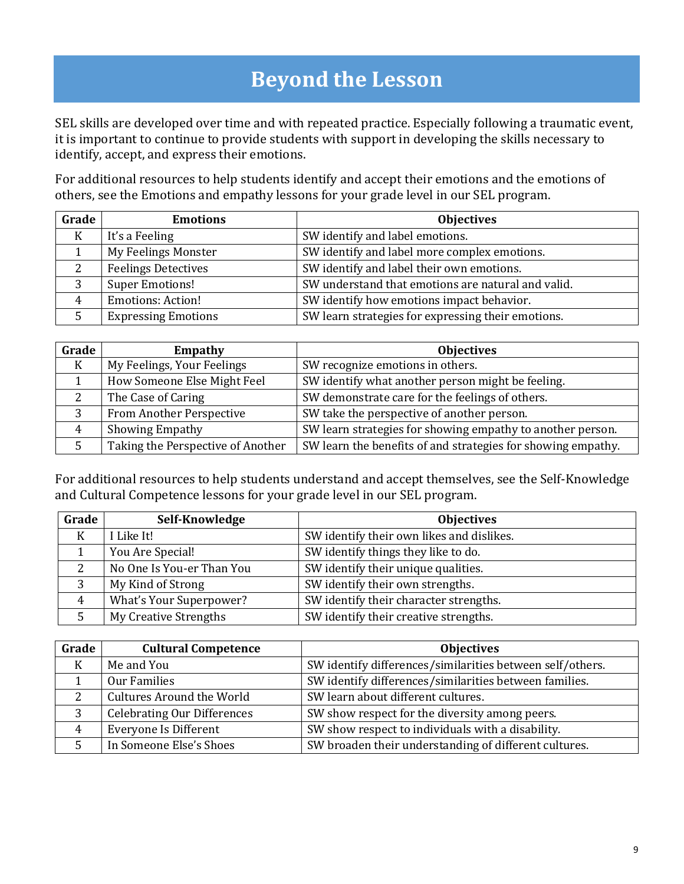# **Beyond the Lesson**

SEL skills are developed over time and with repeated practice. Especially following a traumatic event, it is important to continue to provide students with support in developing the skills necessary to identify, accept, and express their emotions.

For additional resources to help students identify and accept their emotions and the emotions of others, see the Emotions and empathy lessons for your grade level in our SEL program.

| Grade | <b>Emotions</b>            | <b>Objectives</b>                                  |
|-------|----------------------------|----------------------------------------------------|
| K     | It's a Feeling             | SW identify and label emotions.                    |
|       | My Feelings Monster        | SW identify and label more complex emotions.       |
| 2     | <b>Feelings Detectives</b> | SW identify and label their own emotions.          |
| 3     | <b>Super Emotions!</b>     | SW understand that emotions are natural and valid. |
|       | <b>Emotions: Action!</b>   | SW identify how emotions impact behavior.          |
|       | <b>Expressing Emotions</b> | SW learn strategies for expressing their emotions. |

| Grade | Empathy                           | <b>Objectives</b>                                            |
|-------|-----------------------------------|--------------------------------------------------------------|
| K     | My Feelings, Your Feelings        | SW recognize emotions in others.                             |
|       | How Someone Else Might Feel       | SW identify what another person might be feeling.            |
|       | The Case of Caring                | SW demonstrate care for the feelings of others.              |
|       | From Another Perspective          | SW take the perspective of another person.                   |
| 4     | Showing Empathy                   | SW learn strategies for showing empathy to another person.   |
|       | Taking the Perspective of Another | SW learn the benefits of and strategies for showing empathy. |

For additional resources to help students understand and accept themselves, see the Self-Knowledge and Cultural Competence lessons for your grade level in our SEL program.

| Grade         | Self-Knowledge                 | <b>Objectives</b>                         |
|---------------|--------------------------------|-------------------------------------------|
| K             | I Like It!                     | SW identify their own likes and dislikes. |
|               | You Are Special!               | SW identify things they like to do.       |
| $\mathcal{D}$ | No One Is You-er Than You      | SW identify their unique qualities.       |
| 3             | My Kind of Strong              | SW identify their own strengths.          |
| 4             | <b>What's Your Superpower?</b> | SW identify their character strengths.    |
|               | My Creative Strengths          | SW identify their creative strengths.     |

| Grade | <b>Cultural Competence</b>         | <b>Objectives</b>                                         |
|-------|------------------------------------|-----------------------------------------------------------|
| K     | Me and You                         | SW identify differences/similarities between self/others. |
|       | Our Families                       | SW identify differences/similarities between families.    |
| 2     | Cultures Around the World          | SW learn about different cultures.                        |
| 3     | <b>Celebrating Our Differences</b> | SW show respect for the diversity among peers.            |
| 4     | <b>Everyone Is Different</b>       | SW show respect to individuals with a disability.         |
|       | In Someone Else's Shoes            | SW broaden their understanding of different cultures.     |